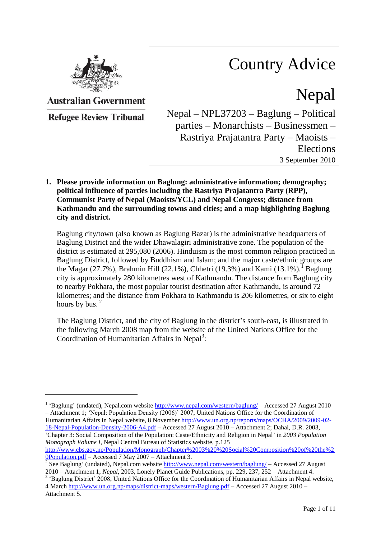

# Country Advice

Nepal

**Australian Government** 

**Refugee Review Tribunal** 

 $\overline{a}$ 

Nepal – NPL37203 – Baglung – Political parties – Monarchists – Businessmen – Rastriya Prajatantra Party – Maoists – Elections 3 September 2010

**1. Please provide information on Baglung: administrative information; demography; political influence of parties including the Rastriya Prajatantra Party (RPP), Communist Party of Nepal (Maoists/YCL) and Nepal Congress; distance from Kathmandu and the surrounding towns and cities; and a map highlighting Baglung city and district.**

Baglung city/town (also known as Baglung Bazar) is the administrative headquarters of Baglung District and the wider Dhawalagiri administrative zone. The population of the district is estimated at 295,080 (2006). Hinduism is the most common religion practiced in Baglung District, followed by Buddhism and Islam; and the major caste/ethnic groups are the Magar (27.7%), Brahmin Hill (22.1%), Chhetri (19.3%) and Kami (13.1%).<sup>1</sup> Baglung city is approximately 280 kilometres west of Kathmandu. The distance from Baglung city to nearby Pokhara, the most popular tourist destination after Kathmandu, is around 72 kilometres; and the distance from Pokhara to Kathmandu is 206 kilometres, or six to eight hours by bus.<sup>2</sup>

The Baglung District, and the city of Baglung in the district's south-east, is illustrated in the following March 2008 map from the website of the United Nations Office for the Coordination of Humanitarian Affairs in Nepal<sup>3</sup>:

<sup>&</sup>lt;sup>1</sup> 'Baglung' (undated), Nepal.com website<http://www.nepal.com/western/baglung/> – Accessed 27 August 2010 – Attachment 1; "Nepal: Population Density (2006)" 2007, United Nations Office for the Coordination of Humanitarian Affairs in Nepal website, 8 November [http://www.un.org.np/reports/maps/OCHA/2009/2009-02-](http://www.un.org.np/reports/maps/OCHA/2009/2009-02-18-Nepal-Population-Density-2006-A4.pdf) [18-Nepal-Population-Density-2006-A4.pdf](http://www.un.org.np/reports/maps/OCHA/2009/2009-02-18-Nepal-Population-Density-2006-A4.pdf) – Accessed 27 August 2010 – Attachment 2; Dahal, D.R. 2003, "Chapter 3: Social Composition of the Population: Caste/Ethnicity and Religion in Nepal" in *2003 Population Monograph Volume I*, Nepal Central Bureau of Statistics website, p.125

[http://www.cbs.gov.np/Population/Monograph/Chapter%2003%20%20Social%20Composition%20of%20the%2](http://www.cbs.gov.np/Population/Monograph/Chapter%2003%20%20Social%20Composition%20of%20the%20Population.pdf) [0Population.pdf](http://www.cbs.gov.np/Population/Monograph/Chapter%2003%20%20Social%20Composition%20of%20the%20Population.pdf) – Accessed 7 May 2007 – Attachment 3.

<sup>&</sup>lt;sup>2</sup> See Baglung' (undated), Nepal.com website  $\frac{http://www.nepal.com/western/baglung/}{http://www.nepal.com/western/baglung/}$  – Accessed 27 August 2010 – Attachment 1; *Nepal*, 2003, Lonely Planet Guide Publications, pp. 229, 237, 252 – Attachment 4.

<sup>&</sup>lt;sup>3</sup> 'Baglung District' 2008, United Nations Office for the Coordination of Humanitarian Affairs in Nepal website, 4 March<http://www.un.org.np/maps/district-maps/western/Baglung.pdf> – Accessed 27 August 2010 – Attachment 5.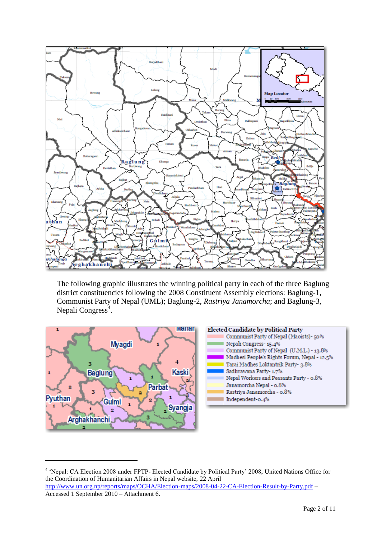

The following graphic illustrates the winning political party in each of the three Baglung district constituencies following the 2008 Constituent Assembly elections: Baglung-1, Communist Party of Nepal (UML); Baglung-2, *Rastriya Janamorcha*; and Baglung-3, Nepali Congress<sup>4</sup>.



 $\overline{a}$ 

<sup>&</sup>lt;sup>4</sup> 'Nepal: CA Election 2008 under FPTP- Elected Candidate by Political Party' 2008, United Nations Office for the Coordination of Humanitarian Affairs in Nepal website, 22 April <http://www.un.org.np/reports/maps/OCHA/Election-maps/2008-04-22-CA-Election-Result-by-Party.pdf> – Accessed 1 September 2010 – Attachment 6.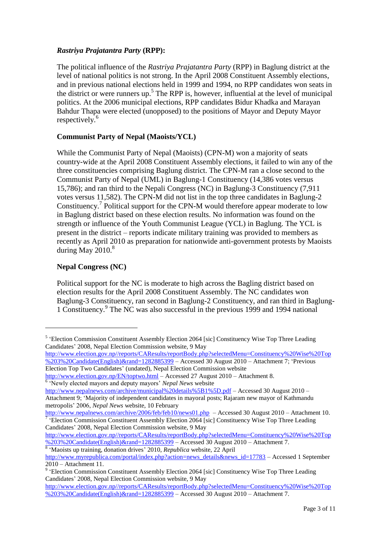## *Rastriya Prajatantra Party* **(RPP):**

The political influence of the *Rastriya Prajatantra Party* (RPP) in Baglung district at the level of national politics is not strong. In the April 2008 Constituent Assembly elections, and in previous national elections held in 1999 and 1994, no RPP candidates won seats in the district or were runners up.<sup>5</sup> The RPP is, however, influential at the level of municipal politics. At the 2006 municipal elections, RPP candidates Bidur Khadka and Marayan Bahdur Thapa were elected (unopposed) to the positions of Mayor and Deputy Mayor respectively. 6

## **Communist Party of Nepal (Maoists/YCL)**

While the Communist Party of Nepal (Maoists) (CPN-M) won a majority of seats country-wide at the April 2008 Constituent Assembly elections, it failed to win any of the three constituencies comprising Baglung district. The CPN-M ran a close second to the Communist Party of Nepal (UML) in Baglung-1 Constituency (14,386 votes versus 15,786); and ran third to the Nepali Congress (NC) in Baglung-3 Constituency (7,911 votes versus 11,582). The CPN-M did not list in the top three candidates in Baglung-2 Constituency.<sup>7</sup> Political support for the CPN-M would therefore appear moderate to low in Baglung district based on these election results. No information was found on the strength or influence of the Youth Communist League (YCL) in Baglung. The YCL is present in the district – reports indicate military training was provided to members as recently as April 2010 as preparation for nationwide anti-government protests by Maoists during May  $2010<sup>8</sup>$ 

## **Nepal Congress (NC)**

 $\overline{a}$ 

Political support for the NC is moderate to high across the Bagling district based on election results for the April 2008 Constituent Assembly. The NC candidates won Baglung-3 Constituency, ran second in Baglung-2 Constituency, and ran third in Baglung-1 Constituency.<sup>9</sup> The NC was also successful in the previous 1999 and 1994 national

[http://www.election.gov.np//reports/CAResults/reportBody.php?selectedMenu=Constituency%20Wise%20Top](http://www.election.gov.np/reports/CAResults/reportBody.php?selectedMenu=Constituency%20Wise%20Top%203%20Candidate(English)&rand=1282885399) [%203%20Candidate\(English\)&rand=1282885399](http://www.election.gov.np/reports/CAResults/reportBody.php?selectedMenu=Constituency%20Wise%20Top%203%20Candidate(English)&rand=1282885399) – Accessed 30 August 2010 – Attachment 7; "Previous Election Top Two Candidates" (undated), Nepal Election Commission website

```
http://www.election.gov.np/EN/toptwo.html – Accessed 27 August 2010 – Attachment 8.
<sup>6</sup> 'Newly elected mayors and deputy mayors' Nepal News website
```
<http://www.nepalnews.com/archive/municipal%20details%5B1%5D.pdf> – Accessed 30 August 2010 – Attachment 9; "Majority of independent candidates in mayoral posts; Rajaram new mayor of Kathmandu metropolis" 2006, *Nepal News* website, 10 February

<http://www.nepalnews.com/archive/2006/feb/feb10/news01.php>– Accessed 30 August 2010 – Attachment 10. <sup>7</sup> 'Election Commission Constituent Assembly Election 2064 [sic] Constituency Wise Top Three Leading Candidates" 2008, Nepal Election Commission website, 9 May

[http://www.election.gov.np//reports/CAResults/reportBody.php?selectedMenu=Constituency%20Wise%20Top](http://www.election.gov.np/reports/CAResults/reportBody.php?selectedMenu=Constituency%20Wise%20Top%203%20Candidate(English)&rand=1282885399) [%203%20Candidate\(English\)&rand=1282885399](http://www.election.gov.np/reports/CAResults/reportBody.php?selectedMenu=Constituency%20Wise%20Top%203%20Candidate(English)&rand=1282885399) – Accessed 30 August 2010 – Attachment 7.

<sup>&</sup>lt;sup>5</sup> 'Election Commission Constituent Assembly Election 2064 [sic] Constituency Wise Top Three Leading Candidates" 2008, Nepal Election Commission website, 9 May

<sup>8</sup> "Maoists up training, donation drives" 2010, *Republica* website, 22 April [http://www.myrepublica.com/portal/index.php?action=news\\_details&news\\_id=17783](http://www.myrepublica.com/portal/index.php?action=news_details&news_id=17783) – Accessed 1 September 2010 – Attachment 11.

<sup>&</sup>lt;sup>9</sup> 'Election Commission Constituent Assembly Election 2064 [sic] Constituency Wise Top Three Leading Candidates" 2008, Nepal Election Commission website, 9 May

[http://www.election.gov.np//reports/CAResults/reportBody.php?selectedMenu=Constituency%20Wise%20Top](http://www.election.gov.np/reports/CAResults/reportBody.php?selectedMenu=Constituency%20Wise%20Top%203%20Candidate(English)&rand=1282885399) [%203%20Candidate\(English\)&rand=1282885399](http://www.election.gov.np/reports/CAResults/reportBody.php?selectedMenu=Constituency%20Wise%20Top%203%20Candidate(English)&rand=1282885399) – Accessed 30 August 2010 – Attachment 7.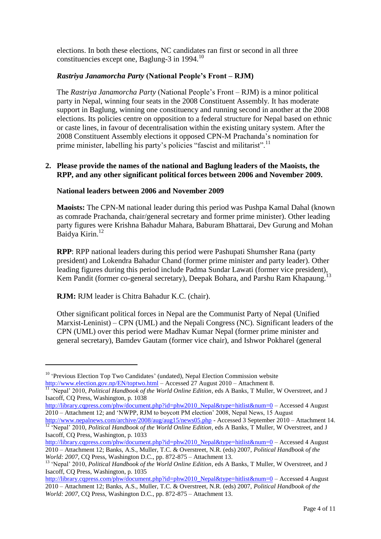elections. In both these elections, NC candidates ran first or second in all three constituencies except one, Baglung-3 in 1994.<sup>10</sup>

## *Rastriya Janamorcha Party* **(National People's Front – RJM)**

The *Rastriya Janamorcha Party* (National People"s Front – RJM) is a minor political party in Nepal, winning four seats in the 2008 Constituent Assembly. It has moderate support in Baglung, winning one constituency and running second in another at the 2008 elections. Its policies centre on opposition to a federal structure for Nepal based on ethnic or caste lines, in favour of decentralisation within the existing unitary system. After the 2008 Constituent Assembly elections it opposed CPN-M Prachanda"s nomination for prime minister, labelling his party's policies "fascist and militarist".<sup>11</sup>

### **2. Please provide the names of the national and Baglung leaders of the Maoists, the RPP, and any other significant political forces between 2006 and November 2009.**

#### **National leaders between 2006 and November 2009**

**Maoists:** The CPN-M national leader during this period was Pushpa Kamal Dahal (known as comrade Prachanda, chair/general secretary and former prime minister). Other leading party figures were Krishna Bahadur Mahara, Baburam Bhattarai, Dev Gurung and Mohan Baidya Kirin. 12

**RPP**: RPP national leaders during this period were Pashupati Shumsher Rana (party president) and Lokendra Bahadur Chand (former prime minister and party leader). Other leading figures during this period include Padma Sundar Lawati (former vice president), Kem Pandit (former co-general secretary), Deepak Bohara, and Parshu Ram Khapaung.<sup>13</sup>

#### **RJM:** RJM leader is Chitra Bahadur K.C. (chair).

 $\overline{a}$ 

Other significant political forces in Nepal are the Communist Party of Nepal (Unified Marxist-Leninist) – CPN (UML) and the Nepali Congress (NC). Significant leaders of the CPN (UML) over this period were Madhav Kumar Nepal (former prime minister and general secretary), Bamdev Gautam (former vice chair), and Ishwor Pokharel (general

<sup>&</sup>lt;sup>10</sup> 'Previous Election Top Two Candidates' (undated), Nepal Election Commission website <http://www.election.gov.np/EN/toptwo.html> – Accessed 27 August 2010 – Attachment 8.

<sup>&</sup>lt;sup>11</sup> 'Nepal' 2010, *Political Handbook of the World Online Edition*, eds A Banks, T Muller, W Overstreet, and J Isacoff, CQ Press, Washington, p. 1038

[http://library.cqpress.com/phw/document.php?id=phw2010\\_Nepal&type=hitlist&num=0](http://library.cqpress.com/phw/document.php?id=phw2010_Nepal&type=hitlist&num=0) – Accessed 4 August 2010 – Attachment 12; and "NWPP, RJM to boycott PM election" 2008, Nepal News, 15 August

<http://www.nepalnews.com/archive/2008/aug/aug15/news05.php> - Accessed 3 September 2010 – Attachment 14. <sup>12</sup> 'Nepal' 2010, *Political Handbook of the World Online Edition*, eds A Banks, T Muller, W Overstreet, and J Isacoff, CQ Press, Washington, p. 1033

[http://library.cqpress.com/phw/document.php?id=phw2010\\_Nepal&type=hitlist&num=0](http://library.cqpress.com/phw/document.php?id=phw2010_Nepal&type=hitlist&num=0) – Accessed 4 August 2010 – Attachment 12; Banks, A.S., Muller, T.C. & Overstreet, N.R. (eds) 2007, *Political Handbook of the World: 2007*, CQ Press, Washington D.C., pp. 872-875 – Attachment 13.

<sup>&</sup>lt;sup>13</sup> 'Nepal' 2010, *Political Handbook of the World Online Edition*, eds A Banks, T Muller, W Overstreet, and J Isacoff, CQ Press, Washington, p. 1035

[http://library.cqpress.com/phw/document.php?id=phw2010\\_Nepal&type=hitlist&num=0](http://library.cqpress.com/phw/document.php?id=phw2010_Nepal&type=hitlist&num=0) – Accessed 4 August 2010 – Attachment 12; Banks, A.S., Muller, T.C. & Overstreet, N.R. (eds) 2007, *Political Handbook of the World: 2007*, CQ Press, Washington D.C., pp. 872-875 – Attachment 13.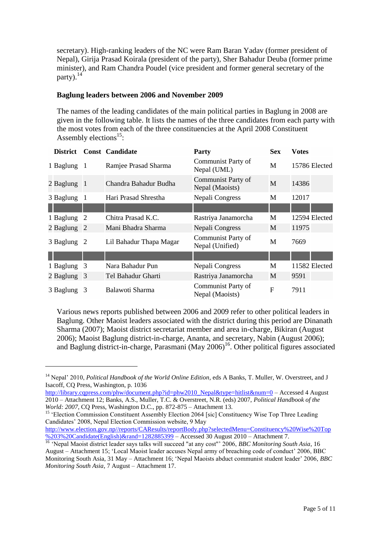secretary). High-ranking leaders of the NC were Ram Baran Yadav (former president of Nepal), Girija Prasad Koirala (president of the party), Sher Bahadur Deuba (former prime minister), and Ram Chandra Poudel (vice president and former general secretary of the party). $^{14}$ 

### **Baglung leaders between 2006 and November 2009**

The names of the leading candidates of the main political parties in Baglung in 2008 are given in the following table. It lists the names of the three candidates from each party with the most votes from each of the three constituencies at the April 2008 Constituent Assembly elections<sup>15</sup>:

| <b>District</b> |    | <b>Const Candidate</b>  | <b>Party</b>                          | <b>Sex</b> | Votes         |
|-----------------|----|-------------------------|---------------------------------------|------------|---------------|
| 1 Baglung 1     |    | Ramjee Prasad Sharma    | Communist Party of<br>Nepal (UML)     | M          | 15786 Elected |
| $2$ Baglung 1   |    | Chandra Bahadur Budha   | Communist Party of<br>Nepal (Maoists) | M          | 14386         |
| 3 Baglung       | -1 | Hari Prasad Shrestha    | Nepali Congress                       | M          | 12017         |
|                 |    |                         |                                       |            |               |
| 1 Baglung       | 2  | Chitra Prasad K.C.      | Rastriya Janamorcha                   | M          | 12594 Elected |
| 2 Baglung 2     |    | Mani Bhadra Sharma      | Nepali Congress                       | М          | 11975         |
| 3 Baglung 2     |    | Lil Bahadur Thapa Magar | Communist Party of<br>Nepal (Unified) | M          | 7669          |
|                 |    |                         |                                       |            |               |
| 1 Baglung       | 3  | Nara Bahadur Pun        | Nepali Congress                       | M          | 11582 Elected |
| 2 Baglung 3     |    | Tel Bahadur Gharti      | Rastriya Janamorcha                   | M          | 9591          |
| 3 Baglung 3     |    | Balawoti Sharma         | Communist Party of<br>Nepal (Maoists) | F          | 7911          |

Various news reports published between 2006 and 2009 refer to other political leaders in Baglung. Other Maoist leaders associated with the district during this period are Dinanath Sharma (2007); Maoist district secretariat member and area in-charge, Bikiran (August 2006); Maoist Baglung district-in-charge, Ananta, and secretary, Nabin (August 2006); and Baglung district-in-charge, Parasmani (May  $2006$ )<sup>16</sup>. Other political figures associated

 $\overline{a}$ 

<sup>&</sup>lt;sup>14</sup> Nepal' 2010. *Political Handbook of the World Online Edition*, eds A Banks, T. Muller, W. Overstreet, and J Isacoff, CQ Press, Washington, p. 1036

[http://library.cqpress.com/phw/document.php?id=phw2010\\_Nepal&type=hitlist&num=0](http://library.cqpress.com/phw/document.php?id=phw2010_Nepal&type=hitlist&num=0) – Accessed 4 August 2010 – Attachment 12; Banks, A.S., Muller, T.C. & Overstreet, N.R. (eds) 2007, *Political Handbook of the World: 2007*, CQ Press, Washington D.C., pp. 872-875 – Attachment 13.

<sup>&</sup>lt;sup>15</sup> 'Election Commission Constituent Assembly Election 2064 [sic] Constituency Wise Top Three Leading Candidates" 2008, Nepal Election Commission website, 9 May

[http://www.election.gov.np//reports/CAResults/reportBody.php?selectedMenu=Constituency%20Wise%20Top](http://www.election.gov.np/reports/CAResults/reportBody.php?selectedMenu=Constituency%20Wise%20Top%203%20Candidate(English)&rand=1282885399) [%203%20Candidate\(English\)&rand=1282885399](http://www.election.gov.np/reports/CAResults/reportBody.php?selectedMenu=Constituency%20Wise%20Top%203%20Candidate(English)&rand=1282885399) – Accessed 30 August 2010 – Attachment 7.

<sup>&</sup>lt;sup>16</sup> 'Nepal Maoist district leader says talks will succeed "at any cost"' 2006, *BBC Monitoring South Asia*, 16 August – Attachment 15; "Local Maoist leader accuses Nepal army of breaching code of conduct" 2006, BBC Monitoring South Asia, 31 May – Attachment 16; "Nepal Maoists abduct communist student leader" 2006, *BBC Monitoring South Asia*, 7 August – Attachment 17.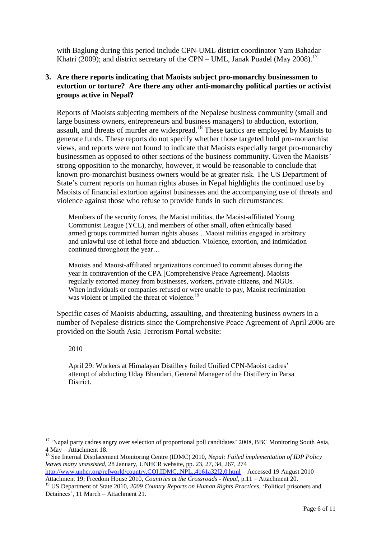with Baglung during this period include CPN-UML district coordinator Yam Bahadar Khatri (2009); and district secretary of the CPN – UML, Janak Puadel (May 2008).<sup>17</sup>

## **3. Are there reports indicating that Maoists subject pro-monarchy businessmen to extortion or torture? Are there any other anti-monarchy political parties or activist groups active in Nepal?**

Reports of Maoists subjecting members of the Nepalese business community (small and large business owners, entrepreneurs and business managers) to abduction, extortion, assault, and threats of murder are widespread.<sup>18</sup> These tactics are employed by Maoists to generate funds. These reports do not specify whether those targeted hold pro-monarchist views, and reports were not found to indicate that Maoists especially target pro-monarchy businessmen as opposed to other sections of the business community. Given the Maoists' strong opposition to the monarchy, however, it would be reasonable to conclude that known pro-monarchist business owners would be at greater risk. The US Department of State"s current reports on human rights abuses in Nepal highlights the continued use by Maoists of financial extortion against businesses and the accompanying use of threats and violence against those who refuse to provide funds in such circumstances:

Members of the security forces, the Maoist militias, the Maoist-affiliated Young Communist League (YCL), and members of other small, often ethnically based armed groups committed human rights abuses…Maoist militias engaged in arbitrary and unlawful use of lethal force and abduction. Violence, extortion, and intimidation continued throughout the year…

Maoists and Maoist-affiliated organizations continued to commit abuses during the year in contravention of the CPA [Comprehensive Peace Agreement]. Maoists regularly extorted money from businesses, workers, private citizens, and NGOs. When individuals or companies refused or were unable to pay, Maoist recrimination was violent or implied the threat of violence.<sup>19</sup>

Specific cases of Maoists abducting, assaulting, and threatening business owners in a number of Nepalese districts since the Comprehensive Peace Agreement of April 2006 are provided on the South Asia Terrorism Portal website:

2010

 $\overline{a}$ 

April 29: Workers at Himalayan Distillery foiled Unified CPN-Maoist cadres" attempt of abducting Uday Bhandari, General Manager of the Distillery in Parsa District.

<sup>&</sup>lt;sup>17</sup> 'Nepal party cadres angry over selection of proportional poll candidates' 2008, BBC Monitoring South Asia, 4 May – Attachment 18.

<sup>&</sup>lt;sup>18</sup> See Internal Displacement Monitoring Centre (IDMC) 2010, *Nepal: Failed implementation of IDP Policy leaves many unassisted*, 28 January, UNHCR website, pp. 23, 27, 34, 267, 274 <http://www.unhcr.org/refworld/country,COI,IDMC,,NPL,,4b61a32f2,0.html> – Accessed 19 August 2010 –

Attachment 19; Freedom House 2010, *Countries at the Crossroads - Nepal*, p.11 – Attachment 20.

<sup>19</sup> US Department of State 2010, *2009 Country Reports on Human Rights Practices*, "Political prisoners and Detainees", 11 March – Attachment 21.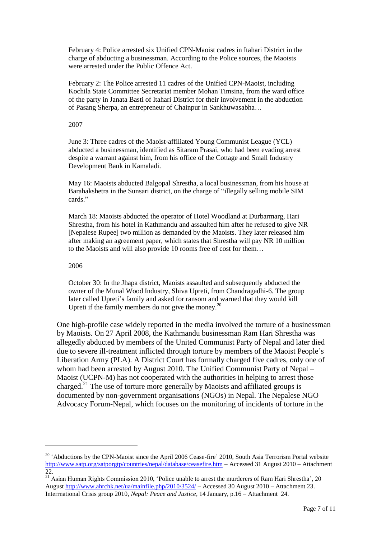February 4: Police arrested six Unified CPN-Maoist cadres in Itahari District in the charge of abducting a businessman. According to the Police sources, the Maoists were arrested under the Public Offence Act.

February 2: The Police arrested 11 cadres of the Unified CPN-Maoist, including Kochila State Committee Secretariat member Mohan Timsina, from the ward office of the party in Janata Basti of Itahari District for their involvement in the abduction of Pasang Sherpa, an entrepreneur of Chainpur in Sankhuwasabha…

2007

June 3: Three cadres of the Maoist-affiliated Young Communist League (YCL) abducted a businessman, identified as Sitaram Prasai, who had been evading arrest despite a warrant against him, from his office of the Cottage and Small Industry Development Bank in Kamaladi.

May 16: Maoists abducted Balgopal Shrestha, a local businessman, from his house at Barahakshetra in the Sunsari district, on the charge of "illegally selling mobile SIM cards."

March 18: Maoists abducted the operator of Hotel Woodland at Durbarmarg, Hari Shrestha, from his hotel in Kathmandu and assaulted him after he refused to give NR [Nepalese Rupee] two million as demanded by the Maoists. They later released him after making an agreement paper, which states that Shrestha will pay NR 10 million to the Maoists and will also provide 10 rooms free of cost for them…

#### 2006

 $\overline{a}$ 

October 30: In the Jhapa district, Maoists assaulted and subsequently abducted the owner of the Munal Wood Industry, Shiva Upreti, from Chandragadhi-6. The group later called Upreti's family and asked for ransom and warned that they would kill Upreti if the family members do not give the money.<sup>20</sup>

One high-profile case widely reported in the media involved the torture of a businessman by Maoists. On 27 April 2008, the Kathmandu businessman Ram Hari Shrestha was allegedly abducted by members of the United Communist Party of Nepal and later died due to severe ill-treatment inflicted through torture by members of the Maoist People"s Liberation Army (PLA). A District Court has formally charged five cadres, only one of whom had been arrested by August 2010. The Unified Communist Party of Nepal – Maoist (UCPN-M) has not cooperated with the authorities in helping to arrest those charged.<sup>21</sup> The use of torture more generally by Maoists and affiliated groups is documented by non-government organisations (NGOs) in Nepal. The Nepalese NGO Advocacy Forum-Nepal, which focuses on the monitoring of incidents of torture in the

<sup>&</sup>lt;sup>20</sup> 'Abductions by the CPN-Maoist since the April 2006 Cease-fire' 2010, South Asia Terrorism Portal website <http://www.satp.org/satporgtp/countries/nepal/database/ceasefire.htm> – Accessed 31 August 2010 – Attachment 22.

 $21$  Asian Human Rights Commission 2010, 'Police unable to arrest the murderers of Ram Hari Shrestha', 20 August<http://www.ahrchk.net/ua/mainfile.php/2010/3524/> – Accessed 30 August 2010 – Attachment 23. Interrnational Crisis group 2010, *Nepal: Peace and Justice*, 14 January, p.16 – Attachment 24.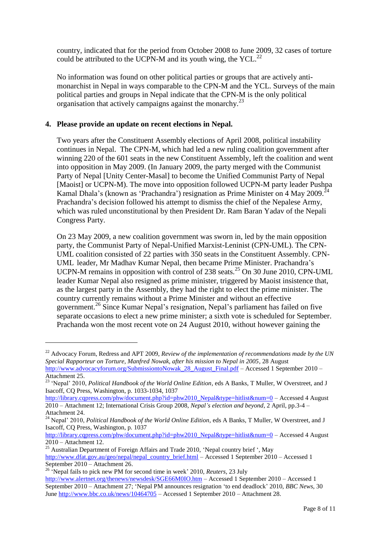country, indicated that for the period from October 2008 to June 2009, 32 cases of torture could be attributed to the UCPN-M and its youth wing, the YCL. $^{22}$ 

No information was found on other political parties or groups that are actively antimonarchist in Nepal in ways comparable to the CPN-M and the YCL. Surveys of the main political parties and groups in Nepal indicate that the CPN-M is the only political organisation that actively campaigns against the monarchy.<sup>23</sup>

### **4. Please provide an update on recent elections in Nepal.**

Two years after the Constituent Assembly elections of April 2008, political instability continues in Nepal. The CPN-M, which had led a new ruling coalition government after winning 220 of the 601 seats in the new Constituent Assembly, left the coalition and went into opposition in May 2009. (In January 2009, the party merged with the Communist Party of Nepal [Unity Center-Masal] to become the Unified Communist Party of Nepal [Maoist] or UCPN-M). The move into opposition followed UCPN-M party leader Pushpa Kamal Dhala's (known as 'Prachandra') resignation as Prime Minister on 4 May 2009.<sup>24</sup> Prachandra"s decision followed his attempt to dismiss the chief of the Nepalese Army, which was ruled unconstitutional by then President Dr. Ram Baran Yadav of the Nepali Congress Party.

On 23 May 2009, a new coalition government was sworn in, led by the main opposition party, the Communist Party of Nepal-Unified Marxist-Leninist (CPN-UML). The CPN-UML coalition consisted of 22 parties with 350 seats in the Constituent Assembly. CPN-UML leader, Mr Madhav Kumar Nepal, then became Prime Minister. Prachandra"s UCPN-M remains in opposition with control of 238 seats.<sup>25</sup> On 30 June 2010, CPN-UML leader Kumar Nepal also resigned as prime minister, triggered by Maoist insistence that, as the largest party in the Assembly, they had the right to elect the prime minister. The country currently remains without a Prime Minister and without an effective government.<sup>26</sup> Since Kumar Nepal"s resignation, Nepal"s parliament has failed on five separate occasions to elect a new prime minister; a sixth vote is scheduled for September. Prachanda won the most recent vote on 24 August 2010, without however gaining the

 $\overline{a}$ 

[http://library.cqpress.com/phw/document.php?id=phw2010\\_Nepal&type=hitlist&num=0](http://library.cqpress.com/phw/document.php?id=phw2010_Nepal&type=hitlist&num=0) – Accessed 4 August 2010 – Attachment 12.

<sup>&</sup>lt;sup>22</sup> Advocacy Forum, Redress and APT 2009, *Review of the implementation of recommendations made by the UN Special Rapporteur on Torture, Manfred Nowak, after his mission to Nepal in 2005*, 28 August [http://www.advocacyforum.org/SubmissiontoNowak\\_28\\_August\\_Final.pdf](http://www.advocacyforum.org/SubmissiontoNowak_28_August_Final.pdf) – Accessed 1 September 2010 –

Attachment 25.

<sup>&</sup>lt;sup>23</sup> 'Nepal' 2010, *Political Handbook of the World Online Edition*, eds A Banks, T Muller, W Overstreet, and J Isacoff, CQ Press, Washington, p. 1033-1034, 1037

[http://library.cqpress.com/phw/document.php?id=phw2010\\_Nepal&type=hitlist&num=0](http://library.cqpress.com/phw/document.php?id=phw2010_Nepal&type=hitlist&num=0) – Accessed 4 August 2010 – Attachment 12; International Crisis Group 2008, *Nepal's election and beyond*, 2 April, pp.3-4 – Attachment 24.

<sup>&</sup>lt;sup>24</sup> Nepal<sup>2</sup> 2010, *Political Handbook of the World Online Edition*, eds A Banks, T Muller, W Overstreet, and J Isacoff, CQ Press, Washington, p. 1037

<sup>&</sup>lt;sup>25</sup> Australian Department of Foreign Affairs and Trade 2010, 'Nepal country brief ', May [http://www.dfat.gov.au/geo/nepal/nepal\\_country\\_brief.html](http://www.dfat.gov.au/geo/nepal/nepal_country_brief.html) – Accessed 1 September 2010 – Accessed 1 September 2010 – Attachment 26.

<sup>&</sup>lt;sup>26</sup> 'Nepal fails to pick new PM for second time in week' 2010, *Reuters*, 23 July <http://www.alertnet.org/thenews/newsdesk/SGE66M0IO.htm> – Accessed 1 September 2010 – Accessed 1 September 2010 – Attachment 27; "Nepal PM announces resignation "to end deadlock" 2010, *BBC News*, 30 Jun[e http://www.bbc.co.uk/news/10464705](http://www.bbc.co.uk/news/10464705) – Accessed 1 September 2010 – Attachment 28.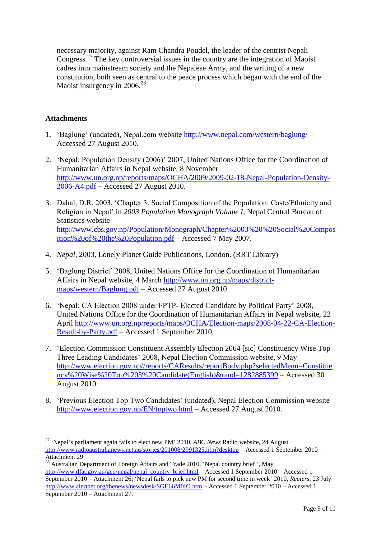necessary majority, against Ram Chandra Poudel, the leader of the centrist Nepali Congress.<sup>27</sup> The key controversial issues in the country are the integration of Maoist cadres into mainstream society and the Nepalese Army, and the writing of a new constitution, both seen as central to the peace process which began with the end of the Maoist insurgency in 2006.<sup>28</sup>

## **Attachments**

 $\overline{a}$ 

- 1. 'Baglung' (undated), Nepal.com website<http://www.nepal.com/western/baglung/>-Accessed 27 August 2010.
- 2. "Nepal: Population Density (2006)" 2007, United Nations Office for the Coordination of Humanitarian Affairs in Nepal website, 8 November [http://www.un.org.np/reports/maps/OCHA/2009/2009-02-18-Nepal-Population-Density-](http://www.un.org.np/reports/maps/OCHA/2009/2009-02-18-Nepal-Population-Density-2006-A4.pdf)[2006-A4.pdf](http://www.un.org.np/reports/maps/OCHA/2009/2009-02-18-Nepal-Population-Density-2006-A4.pdf) – Accessed 27 August 2010.
- 3. Dahal, D.R. 2003, "Chapter 3: Social Composition of the Population: Caste/Ethnicity and Religion in Nepal" in *2003 Population Monograph Volume I*, Nepal Central Bureau of Statistics website [http://www.cbs.gov.np/Population/Monograph/Chapter%2003%20%20Social%20Compos](http://www.cbs.gov.np/Population/Monograph/Chapter%2003%20%20Social%20Composition%20of%20the%20Population.pdf) [ition%20of%20the%20Population.pdf](http://www.cbs.gov.np/Population/Monograph/Chapter%2003%20%20Social%20Composition%20of%20the%20Population.pdf) – Accessed 7 May 2007.
- 4. *Nepal*, 2003, Lonely Planet Guide Publications, London. (RRT Library)
- 5. "Baglung District" 2008, United Nations Office for the Coordination of Humanitarian Affairs in Nepal website, 4 March [http://www.un.org.np/maps/district](http://www.un.org.np/maps/district-maps/western/Baglung.pdf)[maps/western/Baglung.pdf](http://www.un.org.np/maps/district-maps/western/Baglung.pdf) – Accessed 27 August 2010.
- 6. "Nepal: CA Election 2008 under FPTP- Elected Candidate by Political Party" 2008, United Nations Office for the Coordination of Humanitarian Affairs in Nepal website, 22 April [http://www.un.org.np/reports/maps/OCHA/Election-maps/2008-04-22-CA-Election-](http://www.un.org.np/reports/maps/OCHA/Election-maps/2008-04-22-CA-Election-Result-by-Party.pdf)[Result-by-Party.pdf](http://www.un.org.np/reports/maps/OCHA/Election-maps/2008-04-22-CA-Election-Result-by-Party.pdf) – Accessed 1 September 2010.
- 7. "Election Commission Constituent Assembly Election 2064 [sic] Constituency Wise Top Three Leading Candidates" 2008, Nepal Election Commission website, 9 May [http://www.election.gov.np//reports/CAResults/reportBody.php?selectedMenu=Constitue](http://www.election.gov.np/reports/CAResults/reportBody.php?selectedMenu=Constituency%20Wise%20Top%203%20Candidate(English)&rand=1282885399) [ncy%20Wise%20Top%203%20Candidate\(English\)&rand=1282885399](http://www.election.gov.np/reports/CAResults/reportBody.php?selectedMenu=Constituency%20Wise%20Top%203%20Candidate(English)&rand=1282885399) – Accessed 30 August 2010.
- 8. 'Previous Election Top Two Candidates' (undated), Nepal Election Commission website <http://www.election.gov.np/EN/toptwo.html> – Accessed 27 August 2010.

<sup>27</sup> "Nepal"s parliament again fails to elect new PM" 2010*, ABC News* Radio website, 24 August <http://www.radioaustralianews.net.au/stories/201008/2991325.htm?desktop> – Accessed 1 September 2010 – Attachment 29.

<sup>&</sup>lt;sup>28</sup> Australian Department of Foreign Affairs and Trade 2010, 'Nepal country brief ', May [http://www.dfat.gov.au/geo/nepal/nepal\\_country\\_brief.html](http://www.dfat.gov.au/geo/nepal/nepal_country_brief.html) – Accessed 1 September 2010 – Accessed 1 September 2010 – Attachment 26; "Nepal fails to pick new PM for second time in week" 2010, *Reuters*, 23 July <http://www.alertnet.org/thenews/newsdesk/SGE66M0IO.htm> – Accessed 1 September 2010 – Accessed 1 September 2010 – Attachment 27.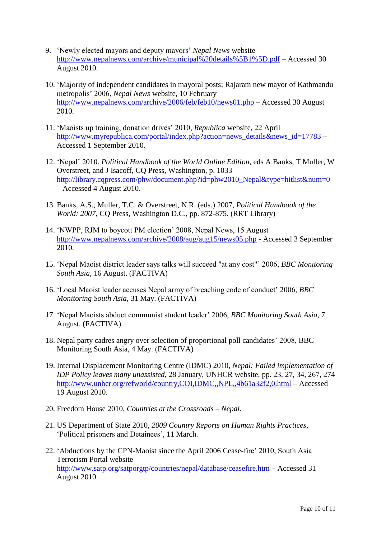- 9. "Newly elected mayors and deputy mayors" *Nepal News* website <http://www.nepalnews.com/archive/municipal%20details%5B1%5D.pdf> – Accessed 30 August 2010.
- 10. "Majority of independent candidates in mayoral posts; Rajaram new mayor of Kathmandu metropolis" 2006, *Nepal News* website, 10 February <http://www.nepalnews.com/archive/2006/feb/feb10/news01.php> – Accessed 30 August 2010.
- 11. "Maoists up training, donation drives" 2010, *Republica* website, 22 April [http://www.myrepublica.com/portal/index.php?action=news\\_details&news\\_id=17783](http://www.myrepublica.com/portal/index.php?action=news_details&news_id=17783) – Accessed 1 September 2010.
- 12. "Nepal" 2010, *Political Handbook of the World Online Edition*, eds A Banks, T Muller, W Overstreet, and J Isacoff, CQ Press, Washington, p. 1033 [http://library.cqpress.com/phw/document.php?id=phw2010\\_Nepal&type=hitlist&num=0](http://library.cqpress.com/phw/document.php?id=phw2010_Nepal&type=hitlist&num=0) – Accessed 4 August 2010.
- 13. Banks, A.S., Muller, T.C. & Overstreet, N.R. (eds.) 2007, *Political Handbook of the World: 2007*, CQ Press, Washington D.C., pp. 872-875. (RRT Library)
- 14. "NWPP, RJM to boycott PM election" 2008, Nepal News, 15 August <http://www.nepalnews.com/archive/2008/aug/aug15/news05.php> - Accessed 3 September 2010.
- 15. "Nepal Maoist district leader says talks will succeed "at any cost"" 2006, *BBC Monitoring South Asia*, 16 August. (FACTIVA)
- 16. "Local Maoist leader accuses Nepal army of breaching code of conduct" 2006, *BBC Monitoring South Asia*, 31 May. (FACTIVA)
- 17. "Nepal Maoists abduct communist student leader" 2006, *BBC Monitoring South Asia,* 7 August. (FACTIVA)
- 18. Nepal party cadres angry over selection of proportional poll candidates" 2008, BBC Monitoring South Asia, 4 May. (FACTIVA)
- 19. Internal Displacement Monitoring Centre (IDMC) 2010, *Nepal: Failed implementation of IDP Policy leaves many unassisted*, 28 January, UNHCR website, pp. 23, 27, 34, 267, 274 <http://www.unhcr.org/refworld/country,COI,IDMC,,NPL,,4b61a32f2,0.html> – Accessed 19 August 2010.
- 20. Freedom House 2010, *Countries at the Crossroads – Nepal*.
- 21. US Department of State 2010, *2009 Country Reports on Human Rights Practices*, "Political prisoners and Detainees", 11 March.
- 22. "Abductions by the CPN-Maoist since the April 2006 Cease-fire" 2010, South Asia Terrorism Portal website <http://www.satp.org/satporgtp/countries/nepal/database/ceasefire.htm> – Accessed 31 August 2010.